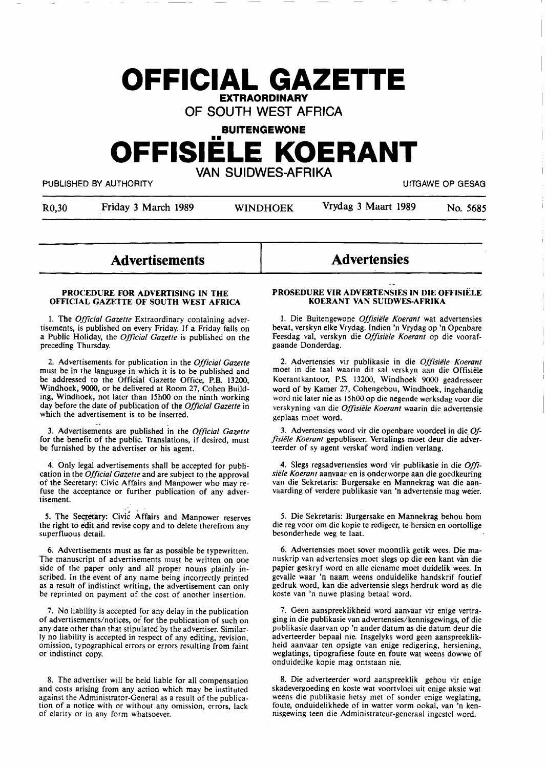# **OFFICIAL GAZETTE EXTRAORDINARY**

**OF SOUTH WEST AFRICA** 

**BUITENGEWONE** 

# •• **OFFISIELE KOERANT VAN SUIDWES-AFRIKA**

PUBLISHED BY AUTHORITY **The CONTRACT OF SECOND ACTION OF SECOND-** THE CONTRACT OF GESAG

R0,30 Friday 3 March 1989 WINDHOEK Vrydag 3 Maart 1989 No. 5685

# **Advertisements**

#### **PROCEDURE FOR ADVERTISING IN THE OFFICIAL GAZETTE OF SOUTH WEST AFRICA**

1. The *Official Gazette* Extraordinary containing advertisements, is published on every Friday. If a Friday falls on a Public Holiday, the *Official Gazette* is published on the preceding Thursday.

2. Advertisements for publication in the *Official Gazette*  must be in the language in which it is to be published and be addressed to the Official Gazette Office, **P.B.** 13200, Windhoek, 9000, or be delivered at Room 27, Cohen Building, Windhoek, not later than **15h00** on the ninth working day before the date of publication of the *Official Gazette* in which the advertisement is to be inserted.

3. Advertisements are published in the *Official Gazette*  for the benefit of the public. Translations, if desired, must be furnished by the advertiser or his agent.

4. Only legal advertisements shall be accepted for publication in the *Official Gazette* and are subject to the approval of the Secretary: Civic Affairs and Manpower who may refuse **the** acceptance or further publication of any advertisement.

5. The Secretary: Civic Affairs and Manpower reserves the right to edit and revise copy and to delete therefrom any superfluous detail.

6. Advertisements must as far as possible be typewritten. The manuscript of advertisements must be written on one side of the paper only and all proper nouns plainly inscribed. In the event of any name being incorrectly printed as a result of indistinct writing, the advertisement can only be reprinted on payment of the cost of another insertion.

7. No liability is accepted for any delay in the publication of advertisements/notices, *oi* for the publication of such on any date other than that stipulated by the advertiser. Similarly no liability is accepted in respect of any editing, revision, omission, typographical errors or errors resulting from faint or indistinct copy.

8. The advertiser will be held liable for all compensation and costs arising from any action which **may** be instituted against the Administrator-General as a result of the publication of a notice with or without any omission, errors, lack of clarity or in any form whatsoever.

# **Advertensies**

#### **PROSEDURE VIR ADVERTENSIES IN DIE OFFISIELE KOERANT VAN SUIDWES-AFRIKA**

I. Die Buitengewone *Offisiele Koerant* wat advertensies bevat, verskyn elke Vrydag. Indien 'n Vrydag op 'n Openbare Feesdag val, verskyn die *Offisiele Koerant* op die voorafgaande Donderdag.

2. Advertensies vir publikasie in die *Offisiele Koerant*  moet in die taal waarin dit sal verskyn aan die Offisiele Koerantkantoor, P.S. **13200,** Windhoek 9000 geadresseer word of by Kamer 27, Cohengebou, Windhoek, ingehandig word nie later nie as 15h00 op die negende werksdag voor die verskyning van die *Offisiele Koerant* waarin die advertensie geplaas moet word.

3. Advertensies word vir die openbare voordeel in die\_ *Offisiele Koerant* gepubliseer. Vertalings moet deur die adverteerder of sy **agent** verskaf word indien verlang.

4. Slegs regsadvertensies word vir publikasie in die *Offisiele Koerant* aanvaar en is onderworpe aan die goedkeuring van die Sekretaris: Burgersake en Mannekrag wat die aanvaarding of verdere publikasie van 'n advertensie mag weier.

*5.* Die Sekretaris: Burgersake en Mannekrag behou horn die reg voor om die kopie te redigeer, te hersien en oortollige besonderhede weg te laat.

6. Advertensies moet sover moontlik getik wees. Die manuskrip van advertensies moet slegs op die een kant van die papier geskryf word en alle eiename moet duidelik wees. In gevalle waar 'n naam weens onduidelike handskrif foutief gedruk word, kan die advertensie slegs herdruk word as die koste van 'n nuwe plasing betaal word.

7. Geen aanspreeklikheid word aanvaar vir enige vertraging in die publikasie van advertensies/kennisgewings, of die publikasie daarvan op 'n ander datum as die datum deur die adverteerder bepaal nie. Insgelyks word geen aanspreeklikheid aanvaar ten opsigte van enige redigering, hersiening, weglatings, tipografiese foute en foute wat weens dowwe of onduidelike kopie mag ontstaan nie.

8. Die adverteerder word aanspreeklik gehou vir enige skadevergoeding en koste wat voortvloei uit enige **aksie** wat weens die publikasie hetsy met of sonder enige weglating, foute, onduidelikhede of in watter vorm ookal, van 'n kennisgewing teen die Administrateur-generaal ingestel word.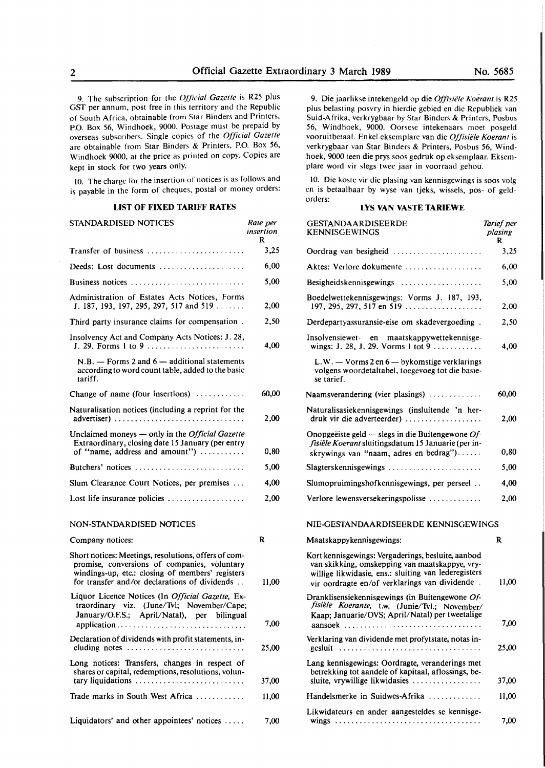9. The subscription for the *Official Gazette* is R25 plus OST per annum, post free in this territory and the Republic of South Africa, obtainable from Star Binders and Printers, P.O. Box 56, Windhoek, 9000. Postage must be prepaid by overseas subscribers. Single copies of the *Officiul Gazette*  are obtainable from Star Binders & Printers, P.O. Box 56, Windhoek 9000, at the price as printed on copy. Copies are kept in stock for two years only.

10. The charge for the insertion of notices is as follows and is payable in the form of cheques, postal or money orders:

# **LIST OF FIXED TARIFF RATES**

| STANDARDISED NOTICES                                                                                                                                                                                      | Rate per<br>insertion<br>R |
|-----------------------------------------------------------------------------------------------------------------------------------------------------------------------------------------------------------|----------------------------|
| Transfer of business                                                                                                                                                                                      | 3,25                       |
| Deeds: Lost documents                                                                                                                                                                                     | 6,00                       |
| Business notices                                                                                                                                                                                          | 5,00                       |
| Administration of Estates Acts Notices, Forms<br>J. 187, 193, 197, 295, 297, 517 and 519                                                                                                                  | 2,00                       |
| Third party insurance claims for compensation.                                                                                                                                                            | 2,50                       |
| Insolvency Act and Company Acts Notices: J. 28,<br>J. 29. Forms 1 to 9 $\dots$ , $\dots$                                                                                                                  | 4,00                       |
| $N.B.$ - Forms 2 and 6 - additional statements<br>according to word count table, added to the basic<br>tariff.                                                                                            |                            |
| Change of name (four insertions)                                                                                                                                                                          | 60,00                      |
| Naturalisation notices (including a reprint for the<br>advertiser)                                                                                                                                        | 2,00                       |
| Unclaimed moneys - only in the Official Gazette<br>Extraordinary, closing date 15 January (per entry<br>of "name, address and amount")                                                                    | 0,80                       |
| Butchers' notices                                                                                                                                                                                         | 5,00                       |
| Slum Clearance Court Notices, per premises                                                                                                                                                                | 4,00                       |
| Lost life insurance policies $\dots \dots \dots \dots \dots \dots$                                                                                                                                        | 2,00                       |
| NON-STANDARDISED NOTICES                                                                                                                                                                                  |                            |
| Company notices:                                                                                                                                                                                          | R                          |
| Short notices: Meetings, resolutions, offers of com-<br>promise, conversions of companies, voluntary<br>windings-up, etc.: closing of members' registers<br>for transfer and/or declarations of dividends | 11,00                      |
| Liquor Licence Notices (In Official Gazette, Ex-<br>traordinary viz. (June/Tvl; November/Cape;<br>January/O.F.S.; April/Natal), per bilingual                                                             | ግ ሰባ                       |

application......... . . . . . . . . . . . . . . . . . . . . . . . 7,00 Declaration of dividends with profit statements, including notes . . . . . . . . . . . . . . . . . . . . . . . . . . . . . 25,00 Long notices: Transfers, changes in respect of shares or capital, redemptions, resolutions, voluntary liquidations . . . . . . . . . . . . . . . . . . . . . . . . . . . 37,00 Trade marks in South West Africa . . . . . . . . . . . . 11,00

Liquidators' and other appointees' notices ..... 7,00

9. Die jaarlikse intekengeld op die *Offisiele Koerant* is R25 plus belasting posvry in hierdie gebied en die Republiek van Suid-Afrika, verkrygbaar by Star Binders & Printers, Posbus 56, Windhoek, 9000. Oorsese intekenaars moet posgeld vooruitbetaal. Enke! eksemplare van die *Offisiele Koerant* is verkrygbaar van Star Binders & Printers, Posbus 56, Windhoek, 9000 teen die prys soos gedruk op eksemplaar. Eksemplare word vir slegs twee jaar in voorraad gehou.

10. Die koste vir die plasing van kennisgewings is soos volg en is betaalbaar by wyse van tjeks, wissels, pos- of geldorders:

# **LYS VAN VASTE TARIEWE**

| GESTANDAARDISEERDE<br><b>KENNISGEWINGS</b>                                                                                                                                                                     | Tarief per<br>plasing<br>R |
|----------------------------------------------------------------------------------------------------------------------------------------------------------------------------------------------------------------|----------------------------|
| Oordrag van besigheid                                                                                                                                                                                          | 3,25                       |
| Aktes: Verlore dokumente                                                                                                                                                                                       | 6,00                       |
| Besigheidskennisgewings                                                                                                                                                                                        | 5.00                       |
| Boedelwettekennisgewings: Vorms J. 187, 193,<br>197, 295, 297, 517 en 519                                                                                                                                      | 2,00                       |
| Derdepartyassuransie-eise om skadevergoeding.                                                                                                                                                                  | 2,50                       |
| Insolvensiewet- en maatskappywettekennisge-<br>wings: J. 28, J. 29. Vorms 1 tot 9                                                                                                                              | 4,00                       |
| L.W. - Vorms 2 en 6 - bykomstige verklarings<br>volgens woordetaltabel, toegevoeg tot die basie-<br>se tarief.                                                                                                 |                            |
| Naamsverandering (vier plasings) $\dots\dots\dots\dots$                                                                                                                                                        | 60,00                      |
| Naturalisasiekennisgewings (insluitende 'n her-<br>druk vir die adverteerder)                                                                                                                                  | 2,00                       |
| Onopgeëiste geld — slegs in die Buitengewone $Of$ -<br>fisiële Koerant sluitingsdatum 15 Januarie (per in-<br>skrywings van "naam, adres en bedrag")                                                           | 0,80                       |
| Slagterskennisgewings                                                                                                                                                                                          | 5,00                       |
| Slumopruimingshofkennisgewings, per perseel                                                                                                                                                                    | 4,00                       |
| Verlore lewensversekeringspolisse                                                                                                                                                                              | 2,00                       |
| NIE-GESTANDAARDISEERDE KENNISGEWINGS                                                                                                                                                                           |                            |
| Maatskappykennisgewings:                                                                                                                                                                                       | R                          |
| Kort kennisgewings: Vergaderings, besluite, aanbod<br>van skikking, omskepping van maatskappye, vry-<br>willige likwidasie, ens.: sluiting van lederegisters<br>vir oordragte en/of verklarings van dividende. | 11,00                      |
| Dranklisensiekennisgewings (in Buitengewone Of-<br>fisiële Koerante, t.w. (Junie/Tvl.; November/<br>Kaap; Januarie/OVS; April/Natal) per tweetalige<br>aansoek                                                 | 7.00                       |
| Verklaring van dividende met profytstate, notas in-<br>gesluit                                                                                                                                                 | 25,00                      |
| Lang kennisgewings: Oordragte, veranderings met<br>betrekking tot aandele of kapitaal, aflossings, be-<br>sluite, vrywillige likwidasies                                                                       | 37,00                      |
| Handelsmerke in Suidwes-Afrika                                                                                                                                                                                 | 11,00                      |
| Likwidateurs en ander aangesteldes se kennisge-                                                                                                                                                                |                            |

wings ............................. • ..... •

7,00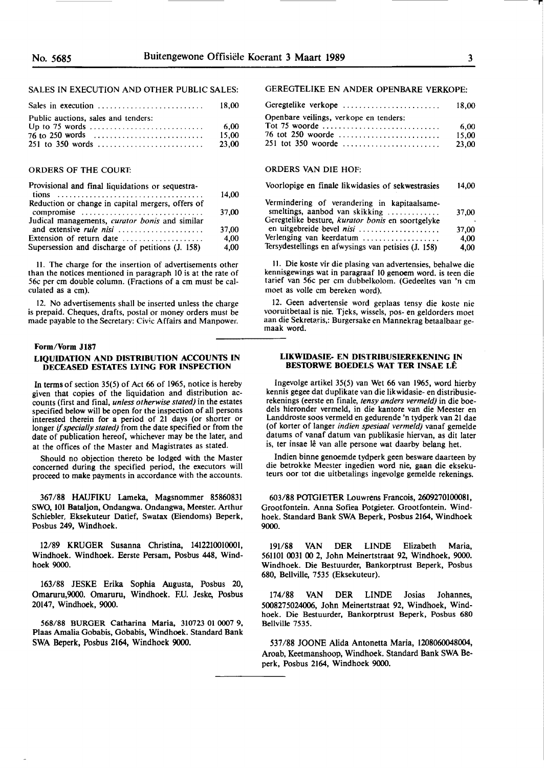# SALES IN EXECUTION AND OTHER PUBLIC SALES:

|                                     | 18.00           |
|-------------------------------------|-----------------|
| Public auctions, sales and tenders: | - 6.00<br>15.00 |
|                                     | 23.00           |

## ORDERS OF THE COURT:

| Provisional and final liquidations or sequestra-                |       |
|-----------------------------------------------------------------|-------|
|                                                                 | 14.00 |
| Reduction or change in capital mergers, offers of<br>compromise | 37.00 |
| Judical managements, <i>curator bonis</i> and similar           | 37.00 |
|                                                                 |       |
| Extension of return date                                        | 4.00  |
| Supersession and discharge of petitions (J. 158)                | 4,00  |

11. The charge for the insertion of advertisements other than the notices mentioned in paragraph IO is at the rate of 56c per cm double column. (Fractions of a cm must be calculated as a cm).

12. No advertisements shall be inserted unless the charge is prepaid. Cheques, drafts, postal or money orders must be made payable to the Secretary: Civic Affairs and Manpower.

#### **Form/Vorm J187**

# **LIQUIDATION AND DISTRIBUTION ACCOUNTS IN DECEASED ESTATES LYING FOR INSPECTION**

In terms of section 35(5) of Act 66 of 1965, notice is hereby given that copies of the liquidation and distribution accounts (first and final, *unless otherwise stated)* in the estates specified below will be open for the inspection of all persons interested therein for a period of 21 days (or shorter or longer if *specially stated)* from the date specified or from the date of publication hereof, whichever may be the later, and at the offices of the Master and Magistrates as stated.

Should no objection thereto be lodged with the Master concerned during the specified period, the executors will proceed to make payments in accordance with the accounts.

367 **/88 HAUFIKU** Lameka, Magsnommer 85860831 SWO, 101 Bataljon, Ondangwa. Ondangwa, Meester. Arthur Schiebler, Eksekuteur Datief, Swatax (Eiendoms) Beperk, Posbus 249, Windhoek.

12/89 KRUGER Susanna Christina, 1412210010001, Windhoek. Windhoek. Eerste Persam, Posbus 448, Wind**hoek** 9000.

163/88 JESKE Erika Sophia Augusta, Posbus 20, Omaruru,9000. Omaruru, Windhoek. F.U. Jeske, Posbus 20147, Windhoek, 9000.

568/88 BURGER Catharina Maria, 310723 01 0007 9, Plaas Amalia Gobabis, Gobabis, Windhoek. Standard Bank SWA Beperk, Posbus 2164, Windhoek 9000.

# GEREGTELIKE EN ANDER OPENBARE VERKOPE:

| Geregtelike verkope                    | 18.00 |
|----------------------------------------|-------|
| Openbare veilings, verkope en tenders: |       |
|                                        | 6.00  |
| 76 tot 250 woorde                      | 15.00 |
| 251 tot 350 woorde                     | 23.00 |

# ORDERS VAN DIE HOF:

| Voorlopige en finale likwidasies of sekwestrasies |  |  | 14,00 |
|---------------------------------------------------|--|--|-------|
|                                                   |  |  |       |

| Vermindering of verandering in kapitaalsame-<br>smeltings, aanbod van skikking | 37,00 |
|--------------------------------------------------------------------------------|-------|
| Geregtelike besture, kurator bonis en soortgelyke                              |       |
| en uitgebreide bevel nisi                                                      | 37.00 |
| Verlenging van keerdatum                                                       | 4.00  |
| Tersydestellings en afwysings van petisies (J. 158)                            | 4.00  |

11. **Die koste vir** die plasing van **advertensies,** behalwe die **kennisgewings wat in** paragraaf 10 **genoem word. is** teen die tarief van 56c per cm dubbelkolom. (Gedeeltes van 'n cm moet as voile cm bereken word).

12. Geen advertensie word geplaas tensy die koste nie vooruitbetaal is nie. Tjeks, wissels, pos- en geldorders moet aan die Sekretaris,: Burgersake en Mannekrag betaalbaar ge**maak** word.

## **LIKWIDASIE- EN DISTRIBUSIEREKENING IN BES10RWE BOEDELS WAT TER INSAE LE**

lngevolge artikel 35(5) van Wet 66 van 1965, word hierby kennis gegee dat duplikate van die likwidasie- en distribusierekenings (eerste en finale, *tensy anders vermeld)* in die boedels hieronder vermeld, in die kantore van die Meester en Landdroste soos vermeld en gedurende 'n tydperk van 21 dae (of korter of langer *indien spesiaal vermeld)* vanaf gemelde datums of vanaf datum van publikasie hiervan, as dit later is, ter insae lê van alle persone wat daarby belang het.

Indien binne genoemde tydperk geen besware daarteen by die betrokke Meester ingedien word nie, gaan die eksekuteurs oor tot die uitbetalings ingevolge gemelde rekenings.

603/88 POTGIETER Louwrens Francois, 2609270100081, Grootfontein. Anna Sofiea Potgieter. Grootfontein. Windhoek. Standard Bank SWA Beperk, Posbus 2164, Windhoek 9000.

191/68 VAN DER LINDE Elizabeth Maria, 561101 0031 00 2, John Meinertstraat 92, Windhoek, 9000. Windhoek. Die Bestuurder, Bankorptrust Beperk, Posbus 680, Bellville, 7535 (Eksekuteur).

174/88 VAN DER LINDE Josias Johannes, 5008275024006, John Meinertstraat 92, Windhoek, Windhoek. Die Bestuurder, Bankorptrust Beperk, Posbus 680 Bellville 7535.

537 /88 JOONE Alida Antonetta Maria, 1208060048004, Aroab, Keetmanshoop, Windhoek. Standard Bank SWA Beperk, Posbus 2164, Windhoek 9000.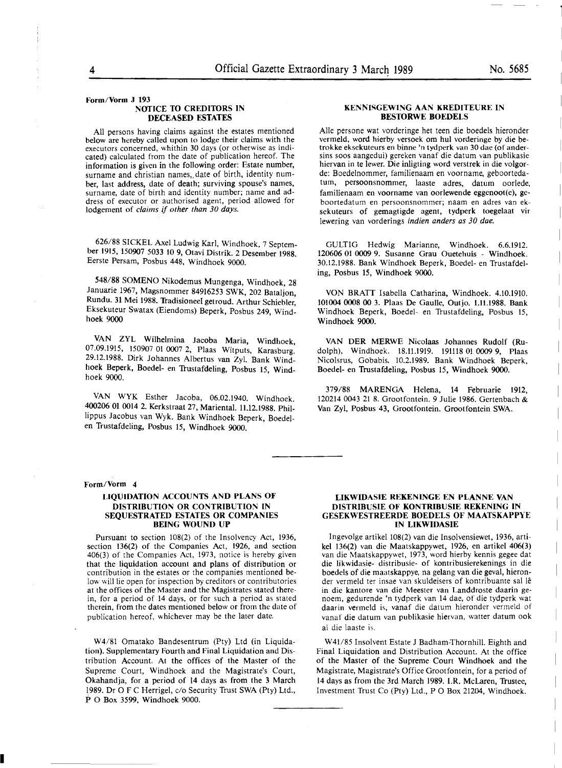#### **Form/Vorm J 193 NOTICE TO CREDITORS IN DECEASED ESTATES**

All persons having claims against the estates mentioned below are hereby called upon to lodge their claims with the executors concerned, whithin 30 days (or otherwise as indicated) calculated from the date of publication hereof. The information is given in the following order: Estate number, surname and christian names, date of birth, identity number, last address, date of death; surviving spouse's names, surname, date of birth and identity number; name and address of executor or authorised agent, period allowed for lodgement of claims if other than 30 days.

626/88 SICKEL Axel Ludwig Karl, Windhoek, 7 September 1915, 150907 5033 10 9, Otavi Distrik. 2 Desember 1988. Eerste Persam, Posbus 448, Windhoek 9000.

548/88 SOMENO Nikodemus Mungenga, Windhoek, 28 Januarie 1967, Magsnommer 84916253 SWK, 202 Bataljon, Rundu. 31 Mei 1988. Tradisioneel getroud. Arthur Schiebler, Eksekuteur Swatax (Eiendoms) Beperk, Posbus 249, Windhoek 9000

VAN ZYL Wilhelmina Jacoba Maria, Windhoek, 07.09.1915, 150907 01 0007 2, Plaas Witputs, Karasburg. 29.12.1988. Dirk Johannes Albertus van Zyl. Bank Windhoek Beperk, Boedel- en 'Irustafdeling, Posbus 15, Windhoek 9000.

**VAN WYK** Esther Jacoba, 06.02.1940. Windhoek. 400206 01 0014 2. Kerkstraat 27, Mariental. 11.12.1988. Phil- . Jippus Jacobus van Wyk. Bank Windhoek Beperk, Boedelen Trustafdeling, Posbus 15, Windhoek 9000.

# **Form/Vorm** 4

# **LIQUIDATION ACCOUNTS AND PLANS OF DISTRIBUTION OR CONTRIBUTION IN SEQUESTRATED ESTATES OR COMPANIES BEING WOUND UP**

Pursuant to section 108(2) of the Insolvency Act, 1936, section 136(2) of the Companies Act, 1926, and section 406(3) of the Companies Act, 1973, notice is hereby given that the liquidation account and plans of distribution or contribution in the estates or the companies mentioned below will lie open for inspection by creditors or contributories at the offices of the Master and the Magistrates stated therein, for a period of **14** days, or for such a period as stated therein, from the dates mentioned below or from the date of publication hereof, whichever may be the later date.

**W4/81** Omatako Bandesentrum (Pty) Ltd (in Liquidation). Supplementary Fourth and Final Liquidation and Distribution Account. At the offices of the Master of the Supreme Court, Windhoek and the Magistrate's Court, Okahandja, for a period of 14 days as from the 3 March **1989.** Dr O F C Herrigel, c/o Security Trust SWA (Pty) Ltd., P O Box 3599, Windhoek 9000.

#### **KENNISGEWING AAN KREDITEURE IN BES10RWE BOEDELS**

Alie persone wat vorderinge het teen die boedels hieronder vermeld, word hierby versoek om hul vorderinge by die betrokke eksekuteurs en binne 'n tydperk van 30 dae (of andersins soos aangedui) gereken vanaf die datum van publikasie hiervan in te lewer. Die inligting word verstrek in die volgorde: Boedelnommer, familienaam en voorname, geboortedatum, persoonsnommer, laaste adres, datum oorlede, familienaam en voorname van oorlewende eggenoot(e), geboortedatum en persoonsnommer; naam en adres van eksekuteurs of gemagtigde agent, tydperk toegelaat vir lewering van vorderings indien anders as 30 dae.

GULTIG Hedwig Marianne, Windhoek. 6.6.1912. 120606 01 0009 9. Susanne Grau Ouetehuis - Windhoek. 30.12.1988. Bank Windhoek Beperk, Boedel- en Trustafdeling, Posbus 15, Windhoek 9000.

VON BRATT Isabella Catharina, Windhoek. 4.10.1910. 101004 0008 00 3. Plaas De Gaulle, Outjo. 1.11.1988. Bank Windhoek Beperk, Boedel- en 'Irustafdeling, Posbus 15, Windhoek 9000.

VAN DER MERWE Nicolaas Johannes Rudolf (Rudolph), Windhoek. 18.ll.1919. 19lll8 01 0009 9, Plaas Nicolsrus, Gobabis. 10.2.1989. Bank Windhoek Beperk, Boedel- en Trustafdeling, Posbus 15, Windhoek 9000.

379/88 MARENGA Helena, 14 Februarie 1912, 120214 0043 21 8. Grootfontein. 9 Julie 1986. Gertenbach & Van Zyl, Posbus 43, Grootfontein. Grootfontein SWA .

### **LIKWIDASIE REKENINGE EN PLANNE VAN DISTRIBUSIE OF KONTRIBUSIE REKENING** IN **GESEKWESTREERDE BOEDELS OF MAATSKAPPYE IN LIKWIDASIE**

lngevolge artikel 108(2) van die Insolvensiewet, 1936, artikel 136(2) van die Maatskappywet, 1926, en artikel 406(3) van die Maatskappywet, 1973, word hierby kennis gegee dat die likwidasie- distribusie- of kontribusierekenings in die boedels of die maatskappye, na gelang van die geval, hieronder vermeld ter insae van skuldeisers of kontribuante sal le in die kantore van die Meester van Landdroste daarin genoem, gedurende 'n tydperk van 14 dae, of die tydperk wat daarin vermeld is, vanaf die datum hieronder vermeld of vanaf die datum van publikasie hiervan, watter datum ook al die laaste is.

W41/85 Insolvent Estate J Badham-Thornhill. Eighth and Final Liquidation and Distribution Account. At the office of the Master of the Supreme Court Windhoek and the Magistrate, Magistrate's Office Grootfontein, for a period of 14 days as from the 3rd March 1989. I.R. McLaren, Trustee, Investment 'Irust Co (Pty) Ltd., **P** O Box 21204, Windhoek.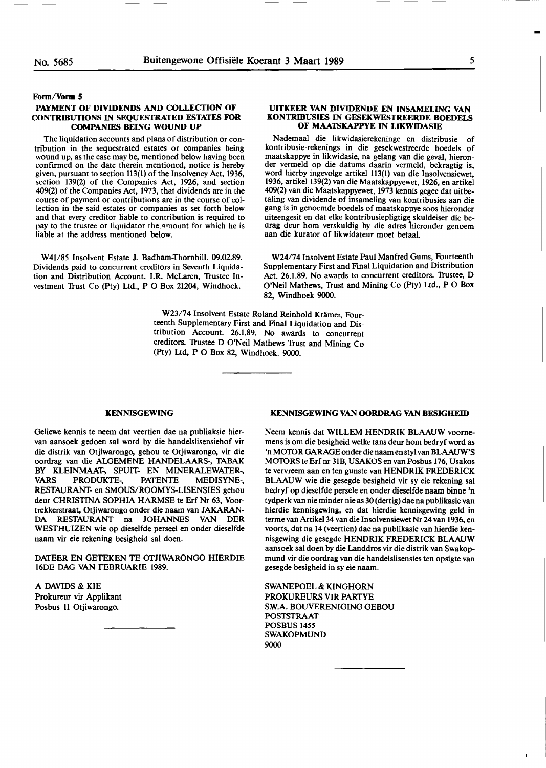# **Form/Vorm S**

# **PAYMENT OF DIVIDENDS AND COLLECTION OF CONTRIBUTIONS** IN **SEQUESTRATED ESTATES FOR COMPANIES BEING WOUND UP**

The liquidation accounts and plans of distribution or contribution in the sequestrated estates or companies being wound up, as the case may be, mentioned below having been confirmed on the date therein mentioned, notice is hereby given, pursuant to section 113(1) of the Insolvency Act, 1936, section 139(2) of the Companies Act, 1926, and section 409(2) of the Companies Act, 1973, that dividends are in the course of payment or contributions are in the course of collection in the said estates or companies **as** set forth below and that every creditor liable to contribution is required to pay to the trustee or liquidator the amount for which he is liable at the address mentioned below.

W41/85 Insolvent Estate **J.** Badham-Thornhill. 09.02.89. Dividends paid to concurrent creditors in Seventh Liquidation and Distribution Account. I.R. McLaren, Trustee Investment Trust Co (Pty) Ltd., P O Box 21204, Windhoek.

# **UITKEER VAN DIVIDENDE EN INSAMELING VAN KONTRIBUSIES IN GESEKWESTREERDE BOEDELS OF MAATSKAPPYE IN LIKWIDASIE**

Nademaal die likwidasierekeninge en distribusie- of kontribusie-rekenings in die gesekwestreerde boedels of maatskappye in likwidasie, na gelang van die geval, hieronder vermeld op die datums daarin vermeld, bekragtig is, word hierby ingevolge artikel 113(1) van **die** Insolvensiewet, 1936, artikel 139(2) van die Maatskappyewet, 1926, en artikel 409(2) van die Maatskappyewet, 1973 kennis gegee dat uitbetaling van dividende of insameling van kontribusies aan die **gang** is in genoemde boedels of maatskappye soos hieronder uiteengesit en dat elke kontribusiepligtige skuldeiser die bedrag deur hom verskuldig by die adres hieronder genoem **aan** die kurator **of** likwidateur moet betaal.

W24/74 Insolvent Estate Paul Manfred Gums, Fourteenth Supplementary First and Final Liquidation and Distribution Act. 26.1.89. No awards to concurrent creditors. Trustee, D O'Neil Mathews, Trust and Mining Co (Pty) Ltd., P O Box 82, Windhoek 9000.

W23/74 Insolvent Estate Roland Reinhold Krämer, Fourteenth Supplementary First and Final Liquidation and Distribution Account. 26.1.89. No awards to concurrent creditors. Trustee D O'Neil Mathews Trust and Mining Co (Pty) Ltd, **P** O Box 82, Windhoek. 9000.

#### **KENNISGEWING**

Geliewe kennis te neem dat veertien dae na publiaksie hiervan aansoek gedoen sal word by die handelslisensiehof vir die distrik **van** Otjiwarongo, gehou **te** Otjiwarongo, vir die oordrag van die ALGEMENE HANDELAARS-, **TABAK**  BY KLEINMAAT-, SPUIT- EN MINERALEWATER-, **VARS** PRODUKTE-, PATENTE MEDISYNE-, RESTAURANT- en SMOUS/ROOMYS-LISENSIES gehou deur CHRISTINA SOPHIA HARMSE te Erf Nr 63, Voortrekkerstraat, Otjiwarongo onder die naam van JAKARAN-DA RESTAURANT na JOHANNES VAN DER WESTHUIZEN wie op dieselfde perseel en onder dieselfde naam vir eie rekening besigheid sal doen.

DATEER EN GETEKEN TE OfJIWARONGO HIERDIE 16DE DAG VAN FEBRUARIE 1989.

A DAVIDS & KIE Prokureur vir Applikant Posbus 11 Otjiwarongo.

# **KENNISGEWING VAN OORDRAG VAN BESIGHEID**

Neem kennis dat WILLEM HENDRIK BLAAUW voornemens is om die besigheid welke tans deur horn bedryf word as 'n MOfOR GARAGE onder die naam en styl van BLAAUW'S MOTORS te Erf nr 31B, USAKOS en van Posbus 176, Usakos te vervreem aan en ten gunste van HENDRIK FREDERICK BLAAUW wie die gesegde besigheid vir sy eie rekening sal bedryf op dieselfde persele en onder dieselfde naam binne 'n tydperk van nie minder nie as 30 ( dertig) dae na publikasie van hierdie kennisgewing, en dat hierdie kennisgewing geld in terme van Artikel 34 van die Insolvensiewet Nr 24 van 1936, en voorts, dat na 14 (veertien) dae na publikasie van hierdie kennisgewing die gesegde HENDRIK FREDERICK BLAAUW aansoek sal doen by die Landdros vir die distrik van Swakopmund vir die oordrag van die handelslisensies ten opsigte van gesegde besigheid in sy eie naam.

SWANEPOEL & KINGHORN PROKUREURS VIR PARTYE S.W.A. BOUVERENIGING GEBOU POSTSTRAAT POSBUS 1455 SWAKOPMUND 9000